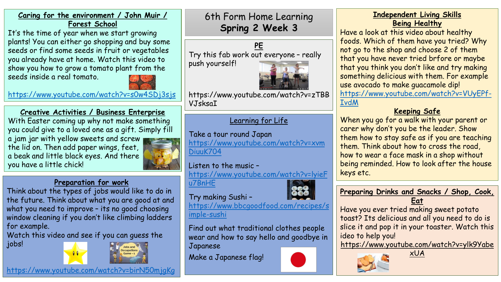#### **Caring for the environment / John Muir / Forest School**

It's the time of year when we start growing plants! You can either go shopping and buy some seeds or find some seeds in fruit or vegetables you already have at home. Watch this video to show you how to grow a tomato plant from the seeds inside a real tomato.

<https://www.youtube.com/watch?v=s0w4SDj3sjs>

**Creative Activities / Business Enterprise** With Easter coming up why not make something you could give to a loved one as a gift. Simply fill a jam jar with yellow sweets and screw the lid on. Then add paper wings, feet, a beak and little black eyes. And there you have a little chick!



## **Preparation for work**

Think about the types of jobs would like to do in the future. Think about what you are good at and what you need to improve – its no good choosing window cleaning if you don't like climbing ladders for example.

Watch this video and see if you can guess the jobs!





6th Form Home Learning **Spring 2 Week 3**

**PE** Try this fab work out everyone – really push yourself!



https://www.youtube.com/watch?v=zTBB VJsksaI

# Learning for Life

Take a tour round Japan [https://www.youtube.com/watch?v=xvm](https://www.youtube.com/watch?v=xvmDiuuK704) DiuuK704

Listen to the music – [https://www.youtube.com/watch?v=lyieF](https://www.youtube.com/watch?v=lyieFu7BnHE) u7BnHE

Try making Sushi – [https://www.bbcgoodfood.com/recipes/s](https://www.bbcgoodfood.com/recipes/simple-sushi)



imple-sushi

Find out what traditional clothes people wear and how to say hello and goodbye in Japanese

Make a Japanese flag!



## **Independent Living Skills Being Healthy**

Have a look at this video about healthy foods. Which of them have you tried? Why not go to the shop and choose 2 of them that you have never tried brfore or maybe that you think you don't like and try making something delicious with them. For example use avocado to make guacamole dip! [https://www.youtube.com/watch?v=VUyEPf-](https://www.youtube.com/watch?v=VUyEPf-IvdM)IvdM

# **Keeping Safe**

When you go for a walk with your parent or carer why don't you be the leader. Show them how to stay safe as if you are teaching them. Think about how to cross the road, how to wear a face mask in a shop without being reminded. How to look after the house keys etc.

## **Preparing Drinks and Snacks / Shop, Cook, Eat**

Have you ever tried making sweet potato toast? Its delicious and all you need to do is slice it and pop it in your toaster. Watch this ideo to help you!

https://www.youtube.com/watch?v=ylk9Yabe xUA



<https://www.youtube.com/watch?v=birN50mjgKg>